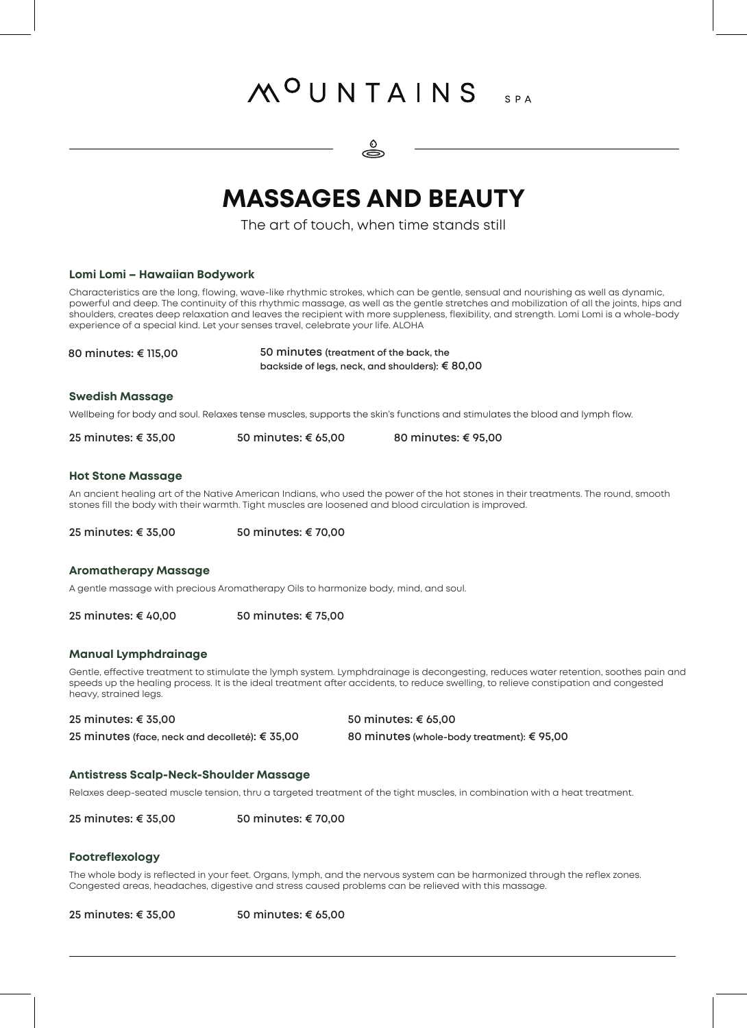# MOUNTAINS SPA



### **MASSAGES AND BEAUTY**

The art of touch, when time stands still

| Lomi Lomi - Hawaiian Bodywork                                                       |                                                          |                                                                                                                                                                                                                                                                                                                                                                                                                          |  |
|-------------------------------------------------------------------------------------|----------------------------------------------------------|--------------------------------------------------------------------------------------------------------------------------------------------------------------------------------------------------------------------------------------------------------------------------------------------------------------------------------------------------------------------------------------------------------------------------|--|
| experience of a special kind. Let your senses travel, celebrate your life. ALOHA    |                                                          | Characteristics are the long, flowing, wave-like rhythmic strokes, which can be gentle, sensual and nourishing as well as dynamic,<br>powerful and deep. The continuity of this rhythmic massage, as well as the gentle stretches and mobilization of all the joints, hips and<br>shoulders, creates deep relaxation and leaves the recipient with more suppleness, flexibility, and strength. Lomi Lomi is a whole-body |  |
| 80 minutes: € 115,00                                                                |                                                          | 50 minutes (treatment of the back, the                                                                                                                                                                                                                                                                                                                                                                                   |  |
|                                                                                     | backside of legs, neck, and shoulders): $\epsilon$ 80,00 |                                                                                                                                                                                                                                                                                                                                                                                                                          |  |
| <b>Swedish Massage</b>                                                              |                                                          |                                                                                                                                                                                                                                                                                                                                                                                                                          |  |
|                                                                                     |                                                          | Wellbeing for body and soul. Relaxes tense muscles, supports the skin's functions and stimulates the blood and lymph flow.                                                                                                                                                                                                                                                                                               |  |
| 25 minutes: € 35,00                                                                 | 50 minutes: € 65,00                                      | 80 minutes: € 95,00                                                                                                                                                                                                                                                                                                                                                                                                      |  |
| <b>Hot Stone Massage</b>                                                            |                                                          |                                                                                                                                                                                                                                                                                                                                                                                                                          |  |
|                                                                                     |                                                          | An ancient healing art of the Native American Indians, who used the power of the hot stones in their treatments. The round, smooth<br>stones fill the body with their warmth. Tight muscles are loosened and blood circulation is improved.                                                                                                                                                                              |  |
| 25 minutes: € 35,00                                                                 | 50 minutes: € 70,00                                      |                                                                                                                                                                                                                                                                                                                                                                                                                          |  |
| <b>Aromatherapy Massage</b>                                                         |                                                          |                                                                                                                                                                                                                                                                                                                                                                                                                          |  |
| A gentle massage with precious Aromatherapy Oils to harmonize body, mind, and soul. |                                                          |                                                                                                                                                                                                                                                                                                                                                                                                                          |  |
| 25 minutes: € 40,00                                                                 | 50 minutes: € 75,00                                      |                                                                                                                                                                                                                                                                                                                                                                                                                          |  |
| <b>Manual Lymphdrainage</b>                                                         |                                                          |                                                                                                                                                                                                                                                                                                                                                                                                                          |  |
| heavy, strained legs.                                                               |                                                          | Gentle, effective treatment to stimulate the lymph system. Lymphdrainage is decongesting, reduces water retention, soothes pain and<br>speeds up the healing process. It is the ideal treatment after accidents, to reduce swelling, to relieve constipation and congested                                                                                                                                               |  |
| 25 minutes: € 35,00                                                                 |                                                          | 50 minutes: € 65,00                                                                                                                                                                                                                                                                                                                                                                                                      |  |
| 25 minutes (face, neck and decolleté): € 35,00                                      |                                                          | 80 minutes (whole-body treatment): € 95,00                                                                                                                                                                                                                                                                                                                                                                               |  |
| <b>Antistress Scalp-Neck-Shoulder Massage</b>                                       |                                                          |                                                                                                                                                                                                                                                                                                                                                                                                                          |  |
|                                                                                     |                                                          | Relaxes deep-seated muscle tension, thru a targeted treatment of the tight muscles, in combination with a heat treatment.                                                                                                                                                                                                                                                                                                |  |
| 25 minutes: € 35,00                                                                 | 50 minutes: € 70,00                                      |                                                                                                                                                                                                                                                                                                                                                                                                                          |  |
| <b>Footreflexology</b>                                                              |                                                          |                                                                                                                                                                                                                                                                                                                                                                                                                          |  |
|                                                                                     |                                                          | The whole body is reflected in your feet. Organs, lymph, and the nervous system can be harmonized through the reflex zones.<br>Congested areas, headaches, digestive and stress caused problems can be relieved with this massage.                                                                                                                                                                                       |  |

**25 minutes: € 35,00 50 minutes: € 65,00**